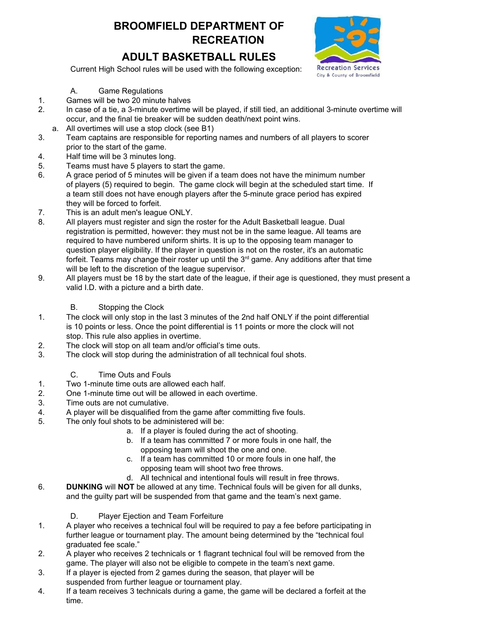# **BROOMFIELD DEPARTMENT OF RECREATION**

# **ADULT BASKETBALL RULES**



Current High School rules will be used with the following exception:

#### A. Game Regulations

- 1. Games will be two 20 minute halves
- 2. In case of a tie, a 3-minute overtime will be played, if still tied, an additional 3-minute overtime will occur, and the final tie breaker will be sudden death/next point wins.
- a. All overtimes will use a stop clock (see B1)
- 3. Team captains are responsible for reporting names and numbers of all players to scorer prior to the start of the game.
- 4. Half time will be 3 minutes long.
- 5. Teams must have 5 players to start the game.
- 6. A grace period of 5 minutes will be given if a team does not have the minimum number of players (5) required to begin. The game clock will begin at the scheduled start time. If a team still does not have enough players after the 5-minute grace period has expired they will be forced to forfeit.
- 7. This is an adult men's league ONLY.
- 8. All players must register and sign the roster for the Adult Basketball league. Dual registration is permitted, however: they must not be in the same league. All teams are required to have numbered uniform shirts. It is up to the opposing team manager to question player eligibility. If the player in question is not on the roster, it's an automatic forfeit. Teams may change their roster up until the  $3<sup>rd</sup>$  game. Any additions after that time will be left to the discretion of the league supervisor.
- 9. All players must be 18 by the start date of the league, if their age is questioned, they must present a valid I.D. with a picture and a birth date.

## B. Stopping the Clock

- 1. The clock will only stop in the last 3 minutes of the 2nd half ONLY if the point differential is 10 points or less. Once the point differential is 11 points or more the clock will not stop. This rule also applies in overtime.
- 2. The clock will stop on all team and/or official's time outs.
- 3. The clock will stop during the administration of all technical foul shots.
	- C. Time Outs and Fouls
- 1. Two 1-minute time outs are allowed each half.
- 2. One 1-minute time out will be allowed in each overtime.
- 3. Time outs are not cumulative.
- 4. A player will be disqualified from the game after committing five fouls.
- 5. The only foul shots to be administered will be:
	- a. If a player is fouled during the act of shooting.
	- b. If a team has committed 7 or more fouls in one half, the opposing team will shoot the one and one.
	- c. If a team has committed 10 or more fouls in one half, the opposing team will shoot two free throws.
	- d. All technical and intentional fouls will result in free throws.
- 6. **DUNKING** will **NOT** be allowed at any time. Technical fouls will be given for all dunks, and the guilty part will be suspended from that game and the team's next game.
	- D. Player Ejection and Team Forfeiture
- 1. A player who receives a technical foul will be required to pay a fee before participating in further league or tournament play. The amount being determined by the "technical foul graduated fee scale."
- 2. A player who receives 2 technicals or 1 flagrant technical foul will be removed from the game. The player will also not be eligible to compete in the team's next game.
- 3. If a player is ejected from 2 games during the season, that player will be suspended from further league or tournament play.
- 4. If a team receives 3 technicals during a game, the game will be declared a forfeit at the time.